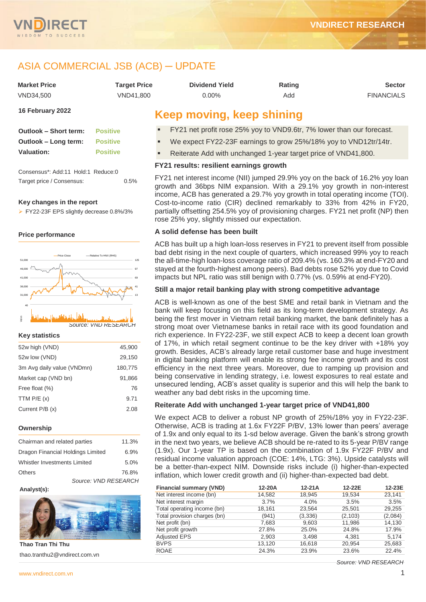



# ASIA COMMERCIAL JSB (ACB) ─ UPDATE

| <b>Market Price</b> | <b>Target Price</b> | <b>Dividend Yield</b> | Rating | Sector            |
|---------------------|---------------------|-----------------------|--------|-------------------|
| VND34.500           | VND41.800           | 0.00%                 | Add    | <b>FINANCIALS</b> |
| $AC$ Eabruary 2022  |                     |                       |        |                   |

#### **16 February 2022**

| <b>Outlook - Short term:</b> | <b>Positive</b> |
|------------------------------|-----------------|
| Outlook – Long term:         | <b>Positive</b> |
| Valuation:                   | <b>Positive</b> |

Consensus\*: Add:11 Hold:1 Reduce:0 Target price / Consensus: 0.5%

#### **Key changes in the report**

FY22-23F EPS slightly decrease 0.8%/3%

#### **Price performance**



#### **Key statistics**

| 52w high (VND)             | 45,900  |
|----------------------------|---------|
| 52w low (VND)              | 29,150  |
| 3m Avg daily value (VNDmn) | 180,775 |
| Market cap (VND bn)        | 91.866  |
| Free float (%)             | 76      |
| TTM $P/E(x)$               | 9.71    |
| Current $P/B(x)$           | 2.08    |
|                            |         |

#### **Ownership**

| Chairman and related parties      | 11.3% |
|-----------------------------------|-------|
| Dragon Financial Holdings Limited | 6.9%  |
| Whistler Investments Limited      | 5.0%  |
| <b>Others</b>                     | 76.8% |
| Source: VND RESEARCH              |       |

#### **Analyst(s):**



**Thao Tran Thi Thu** thao.tranthu2@vndirect.com.vn

# **Keep moving, keep shining**

- FY21 net profit rose 25% yoy to VND9.6tr, 7% lower than our forecast.
- We expect FY22-23F earnings to grow 25%/18% yoy to VND12tr/14tr.
- Reiterate Add with unchanged 1-year target price of VND41,800.

#### **FY21 results: resilient earnings growth**

FY21 net interest income (NII) jumped 29.9% yoy on the back of 16.2% yoy loan growth and 36bps NIM expansion. With a 29.1% yoy growth in non-interest income, ACB has generated a 29.7% yoy growth in total operating income (TOI). Cost-to-income ratio (CIR) declined remarkably to 33% from 42% in FY20, partially offsetting 254.5% yoy of provisioning charges. FY21 net profit (NP) then rose 25% yoy, slightly missed our expectation.

#### **A solid defense has been built**

ACB has built up a high loan-loss reserves in FY21 to prevent itself from possible bad debt rising in the next couple of quarters, which increased 99% yoy to reach the all-time-high loan-loss coverage ratio of 209.4% (vs. 160.3% at end-FY20 and stayed at the fourth-highest among peers). Bad debts rose 52% yoy due to Covid impacts but NPL ratio was still benign with 0.77% (vs. 0.59% at end-FY20).

#### **Still a major retail banking play with strong competitive advantage**

ACB is well-known as one of the best SME and retail bank in Vietnam and the bank will keep focusing on this field as its long-term development strategy. As being the first mover in Vietnam retail banking market, the bank definitely has a strong moat over Vietnamese banks in retail race with its good foundation and rich experience. In FY22-23F, we still expect ACB to keep a decent loan growth of 17%, in which retail segment continue to be the key driver with +18% yoy growth. Besides, ACB's already large retail customer base and huge investment in digital banking platform will enable its strong fee income growth and its cost efficiency in the next three years. Moreover, due to ramping up provision and being conservative in lending strategy, i.e. lowest exposures to real estate and unsecured lending, ACB's asset quality is superior and this will help the bank to weather any bad debt risks in the upcoming time.

#### **Reiterate Add with unchanged 1-year target price of VND41,800**

We expect ACB to deliver a robust NP growth of 25%/18% yoy in FY22-23F. Otherwise, ACB is trading at 1.6x FY22F P/BV, 13% lower than peers' average of 1.9x and only equal to its 1-sd below average. Given the bank's strong growth in the next two years, we believe ACB should be re-rated to its 5-year P/BV range (1.9x). Our 1-year TP is based on the combination of 1.9x FY22F P/BV and residual income valuation approach (COE: 14%, LTG: 3%). Upside catalysts will be a better-than-expect NIM. Downside risks include (i) higher-than-expected inflation, which lower credit growth and (ii) higher-than-expected bad debt.

| <b>Financial summary (VND)</b> | 12-20A | $12-21A$ | 12-22E   | 12-23E  |
|--------------------------------|--------|----------|----------|---------|
| Net interest income (bn)       | 14,582 | 18,945   | 19,534   | 23,141  |
| Net interest margin            | 3.7%   | 4.0%     | 3.5%     | 3.5%    |
| Total operating income (bn)    | 18,161 | 23,564   | 25,501   | 29,255  |
| Total provision charges (bn)   | (941)  | (3,336)  | (2, 103) | (2,084) |
| Net profit (bn)                | 7,683  | 9,603    | 11,986   | 14,130  |
| Net profit growth              | 27.8%  | 25.0%    | 24.8%    | 17.9%   |
| <b>Adjusted EPS</b>            | 2,903  | 3.498    | 4,381    | 5.174   |
| <b>BVPS</b>                    | 13,120 | 16,618   | 20,954   | 25,683  |
| <b>ROAE</b>                    | 24.3%  | 23.9%    | 23.6%    | 22.4%   |

*Source: VND RESEARCH*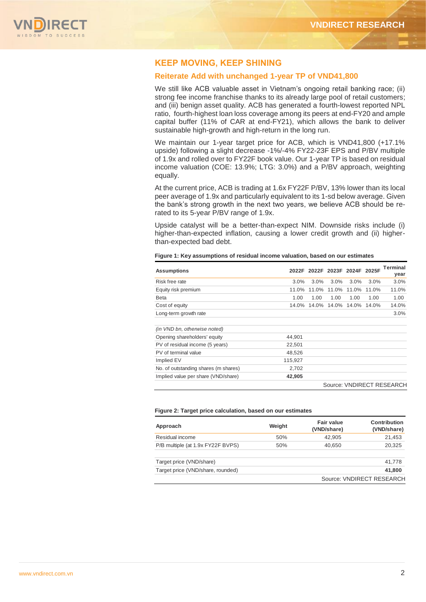

## **KEEP MOVING, KEEP SHINING**

#### **Reiterate Add with unchanged 1-year TP of VND41,800**

We still like ACB valuable asset in Vietnam's ongoing retail banking race; (ii) strong fee income franchise thanks to its already large pool of retail customers; and (iii) benign asset quality. ACB has generated a fourth-lowest reported NPL ratio, fourth-highest loan loss coverage among its peers at end-FY20 and ample capital buffer (11% of CAR at end-FY21), which allows the bank to deliver sustainable high-growth and high-return in the long run.

We maintain our 1-year target price for ACB, which is VND41,800 (+17.1%) upside) following a slight decrease -1%/-4% FY22-23F EPS and P/BV multiple of 1.9x and rolled over to FY22F book value. Our 1-year TP is based on residual income valuation (COE: 13.9%; LTG: 3.0%) and a P/BV approach, weighting equally.

At the current price, ACB is trading at 1.6x FY22F P/BV, 13% lower than its local peer average of 1.9x and particularly equivalent to its 1-sd below average. Given the bank's strong growth in the next two years, we believe ACB should be rerated to its 5-year P/BV range of 1.9x.

Upside catalyst will be a better-than-expect NIM. Downside risks include (i) higher-than-expected inflation, causing a lower credit growth and (ii) higherthan-expected bad debt.

**Figure 1: Key assumptions of residual income valuation, based on our estimates**

| <b>Assumptions</b>                   |         | 2022F 2022F 2023F 2024F 2025F |       |       |       | <b>Terminal</b><br>year   |
|--------------------------------------|---------|-------------------------------|-------|-------|-------|---------------------------|
| Risk free rate                       | 3.0%    | 3.0%                          | 3.0%  | 3.0%  | 3.0%  | 3.0%                      |
| Equity risk premium                  | 11.0%   | 11.0%                         | 11.0% | 11.0% | 11.0% | 11.0%                     |
| Beta                                 | 1.00    | 1.00                          | 1.00  | 1.00  | 1.00  | 1.00                      |
| Cost of equity                       | 14.0%   | 14.0%                         | 14.0% | 14.0% | 14.0% | 14.0%                     |
| Long-term growth rate                |         |                               |       |       |       | 3.0%                      |
| (in VND bn, otherwise noted)         |         |                               |       |       |       |                           |
| Opening shareholders' equity         | 44,901  |                               |       |       |       |                           |
| PV of residual income (5 years)      | 22,501  |                               |       |       |       |                           |
| PV of terminal value                 | 48,526  |                               |       |       |       |                           |
| Implied EV                           | 115,927 |                               |       |       |       |                           |
| No. of outstanding shares (m shares) | 2,702   |                               |       |       |       |                           |
| Implied value per share (VND/share)  | 42,905  |                               |       |       |       |                           |
|                                      |         |                               |       |       |       | Couron VAINIDECT DECEADCU |

Source: VNDIRECT RESEARCH

| Figure 2: Target price calculation, based on our estimates |  |  |  |
|------------------------------------------------------------|--|--|--|
|------------------------------------------------------------|--|--|--|

| Approach                          | Weight | Fair value<br>(VND/share) | <b>Contribution</b><br>(VND/share) |
|-----------------------------------|--------|---------------------------|------------------------------------|
| Residual income                   | 50%    | 42.905                    | 21,453                             |
| P/B multiple (at 1.9x FY22F BVPS) | 50%    | 40,650                    | 20,325                             |
| Target price (VND/share)          |        |                           | 41,778                             |
| Target price (VND/share, rounded) |        |                           | 41.800                             |
|                                   |        |                           | Source: VNDIRECT RESEARCH          |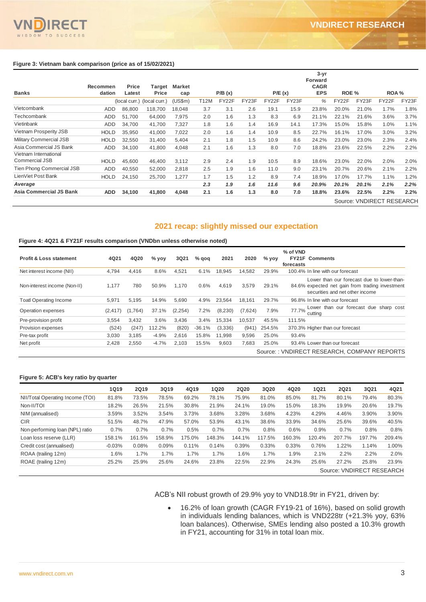

 $TQ$ 

|                                                | <b>Recommen</b> | Price  | Target                      | Market  |      |        |       |        |       | $3 - yr$<br>Forward<br><b>CAGR</b> |       |       |                           |       |
|------------------------------------------------|-----------------|--------|-----------------------------|---------|------|--------|-------|--------|-------|------------------------------------|-------|-------|---------------------------|-------|
| <b>Banks</b>                                   | dation          | Latest | Price                       | cap     |      | P/B(x) |       | P/E(x) |       | <b>EPS</b>                         | ROE % |       | ROA %                     |       |
|                                                |                 |        | (local curr.) (local curr.) | (US\$m) | T12M | FY22F  | FY23F | FY22F  | FY23F | %                                  | FY22F | FY23F | FY22F                     | FY23F |
| Vietcombank                                    | ADD             | 86,800 | 118,700                     | 18,048  | 3.7  | 3.1    | 2.6   | 19.1   | 15.9  | 23.8%                              | 20.0% | 21.0% | 1.7%                      | 1.8%  |
| Techcombank                                    | ADD             | 51.700 | 64,000                      | 7,975   | 2.0  | 1.6    | 1.3   | 8.3    | 6.9   | 21.1%                              | 22.1% | 21.6% | 3.6%                      | 3.7%  |
| Vietinbank                                     | <b>ADD</b>      | 34,700 | 41,700                      | 7,327   | 1.8  | 1.6    | 1.4   | 16.9   | 14.1  | 17.3%                              | 15.0% | 15.8% | 1.0%                      | 1.1%  |
| Vietnam Prosperity JSB                         | <b>HOLD</b>     | 35,950 | 41,000                      | 7,022   | 2.0  | 1.6    | 1.4   | 10.9   | 8.5   | 22.7%                              | 16.1% | 17.0% | 3.0%                      | 3.2%  |
| <b>Military Commercial JSB</b>                 | <b>HOLD</b>     | 32,550 | 31,400                      | 5,404   | 2.1  | 1.8    | 1.5   | 10.9   | 8.6   | 24.2%                              | 23.0% | 23.0% | 2.3%                      | 2.4%  |
| Asia Commercial JS Bank                        | <b>ADD</b>      | 34,100 | 41,800                      | 4,048   | 2.1  | 1.6    | 1.3   | 8.0    | 7.0   | 18.8%                              | 23.6% | 22.5% | 2.2%                      | 2.2%  |
| Vietnam International<br><b>Commercial JSB</b> | <b>HOLD</b>     | 45,600 | 46,400                      | 3,112   | 2.9  | 2.4    | 1.9   | 10.5   | 8.9   | 18.6%                              | 23.0% | 22.0% | 2.0%                      | 2.0%  |
| Tien Phong Commercial JSB                      | ADD             | 40,550 | 52,000                      | 2,818   | 2.5  | 1.9    | 1.6   | 11.0   | 9.0   | 23.1%                              | 20.7% | 20.6% | 2.1%                      | 2.2%  |
| LienViet Post Bank                             | <b>HOLD</b>     | 24,150 | 25,700                      | 1,277   | 1.7  | 1.5    | 1.2   | 8.9    | 7.4   | 18.9%                              | 17.0% | 17.7% | 1.1%                      | 1.2%  |
| Average                                        |                 |        |                             |         | 2.3  | 1.9    | 1.6   | 11.6   | 9.6   | 20.9%                              | 20.1% | 20.1% | 2.1%                      | 2.2%  |
| Asia Commercial JS Bank                        | <b>ADD</b>      | 34,100 | 41,800                      | 4,048   | 2.1  | 1.6    | 1.3   | 8.0    | 7.0   | 18.8%                              | 23.6% | 22.5% | 2.2%                      | 2.2%  |
|                                                |                 |        |                             |         |      |        |       |        |       |                                    |       |       | Source: VNDIRECT RESEARCH |       |

## **2021 recap: slightly missed our expectation**

#### **Figure 4: 4Q21 & FY21F results comparison (VNDbn unless otherwise noted)**

| <b>Profit &amp; Loss statement</b> | 4Q21     | 4Q20    | $%$ yoy | 3Q21    | $%$ gog  | 2021    | 2020    | $%$ yoy | % of VND<br><b>FY21F Comments</b><br>forecasts                                                                                   |
|------------------------------------|----------|---------|---------|---------|----------|---------|---------|---------|----------------------------------------------------------------------------------------------------------------------------------|
| Net interest income (NII)          | 4,794    | 4,416   | 8.6%    | 4,521   | 6.1%     | 18.945  | 14,582  | 29.9%   | 100.4% In line with our forecast                                                                                                 |
| Non-interest income (Non-II)       | 1.177    | 780     | 50.9%   | 1.170   | 0.6%     | 4,619   | 3,579   | 29.1%   | Lower than our forecast due to lower-than-<br>84.6% expected net gain from trading investment<br>securities and net other income |
| <b>Toatl Operating Income</b>      | 5,971    | 5.195   | 14.9%   | 5.690   | 4.9%     | 23.564  | 18.161  | 29.7%   | 96.8% In line with our forecast                                                                                                  |
| Operation expenses                 | (2, 417) | (1,764) | 37.1%   | (2,254) | 7.2%     | (8,230) | (7,624) | 7.9%    | Lower than our forecast due sharp cost<br>77.7%<br>cuttina                                                                       |
| Pre-provision profit               | 3.554    | 3.432   | 3.6%    | 3,436   | 3.4%     | 15,334  | 10,537  | 45.5%   | 111.5%                                                                                                                           |
| Provision expenses                 | (524)    | (247)   | 12.2%   | (820)   | $-36.1%$ | (3,336) | (941)   | 254.5%  | 370.3% Higher than our forecast                                                                                                  |
| Pre-tax profit                     | 3,030    | 3,185   | $-4.9%$ | 2.616   | 15.8%    | 11.998  | 9,596   | 25.0%   | 93.4%                                                                                                                            |
| Net profit                         | 2,428    | 2,550   | $-4.7%$ | 2,103   | 15.5%    | 9,603   | 7,683   | 25.0%   | 93.4% Lower than our forecast                                                                                                    |
|                                    |          |         |         |         |          |         |         |         | Source:: VNDIRECT RESEARCH, COMPANY REPORTS                                                                                      |

#### **Figure 5: ACB's key ratio by quarter**

|                                  | <b>1Q19</b> | <b>2Q19</b> | 3Q19   | 4Q19   | <b>1Q20</b> | <b>2Q20</b> | 3Q20   | 4Q20   | <b>1Q21</b> | <b>2Q21</b> | 3Q21                      | 4Q21   |
|----------------------------------|-------------|-------------|--------|--------|-------------|-------------|--------|--------|-------------|-------------|---------------------------|--------|
| NII/Total Operating Income (TOI) | 81.8%       | 73.5%       | 78.5%  | 69.2%  | 78.1%       | 75.9%       | 81.0%  | 85.0%  | 81.7%       | 80.1%       | 79.4%                     | 80.3%  |
| Non-II/TOI                       | 18.2%       | 26.5%       | 21.5%  | 30.8%  | 21.9%       | 24.1%       | 19.0%  | 15.0%  | 18.3%       | 19.9%       | 20.6%                     | 19.7%  |
| NIM (annualised)                 | 3.59%       | 3.52%       | 3.54%  | 3.73%  | 3.68%       | 3.28%       | 3.68%  | 4.23%  | 4.29%       | 4.46%       | 3.90%                     | 3.90%  |
| <b>CIR</b>                       | 51.5%       | 48.7%       | 47.9%  | 57.0%  | 53.9%       | 43.1%       | 38.6%  | 33.9%  | 34.6%       | 25.6%       | 39.6%                     | 40.5%  |
| Non-performing loan (NPL) ratio  | 0.7%        | 0.7%        | 0.7%   | 0.5%   | 0.7%        | 0.7%        | 0.8%   | 0.6%   | 0.9%        | 0.7%        | 0.8%                      | 0.8%   |
| Loan loss reserve (LLR)          | 158.1%      | 161.5%      | 158.9% | 175.0% | 148.3%      | 144.1%      | 117.5% | 160.3% | 120.4%      | 207.7%      | 197.7%                    | 209.4% |
| Credit cost (annualised)         | $-0.03%$    | 0.08%       | 0.09%  | 0.11%  | 0.14%       | 0.39%       | 0.33%  | 0.33%  | 0.76%       | 1.22%       | 1.14%                     | 1.00%  |
| ROAA (trailing 12m)              | 1.6%        | 1.7%        | 1.7%   | 1.7%   | 1.7%        | 1.6%        | 1.7%   | 1.9%   | 2.1%        | 2.2%        | 2.2%                      | 2.0%   |
| ROAE (trailing 12m)              | 25.2%       | 25.9%       | 25.6%  | 24.6%  | 23.8%       | 22.5%       | 22.9%  | 24.3%  | 25.6%       | 27.2%       | 25.8%                     | 23.9%  |
|                                  |             |             |        |        |             |             |        |        |             |             | Source: VNDIRECT RESEARCH |        |

ACB's NII robust growth of 29.9% yoy to VND18.9tr in FY21, driven by:

 16.2% of loan growth (CAGR FY19-21 of 16%), based on solid growth in individuals lending balances, which is VND228tr (+21.3% yoy, 63% loan balances). Otherwise, SMEs lending also posted a 10.3% growth in FY21, accounting for 31% in total loan mix.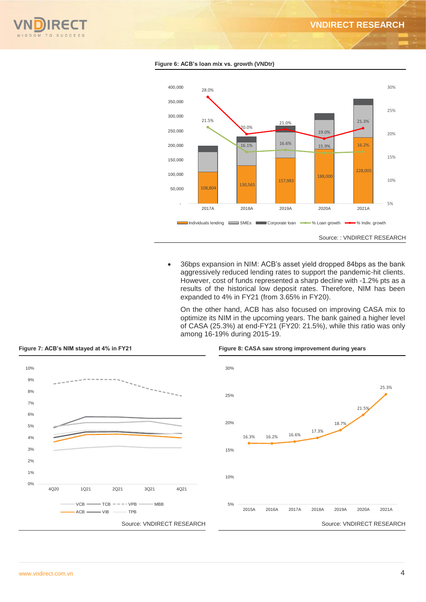



**Figure 6: ACB's loan mix vs. growth (VNDtr)**

 36bps expansion in NIM: ACB's asset yield dropped 84bps as the bank aggressively reduced lending rates to support the pandemic-hit clients. However, cost of funds represented a sharp decline with -1.2% pts as a results of the historical low deposit rates. Therefore, NIM has been expanded to 4% in FY21 (from 3.65% in FY20).

On the other hand, ACB has also focused on improving CASA mix to optimize its NIM in the upcoming years. The bank gained a higher level of CASA (25.3%) at end-FY21 (FY20: 21.5%), while this ratio was only among 16-19% during 2015-19.



#### **Figure 7: ACB's NIM stayed at 4% in FY21 Figure 8: CASA saw strong improvement during years**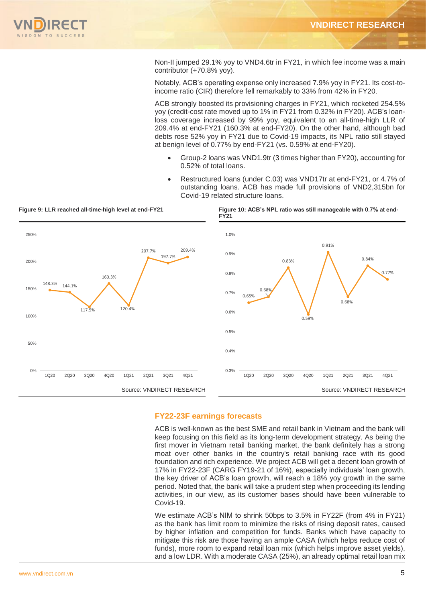

Non-II jumped 29.1% yoy to VND4.6tr in FY21, in which fee income was a main contributor (+70.8% yoy).

Notably, ACB's operating expense only increased 7.9% yoy in FY21. Its cost-toincome ratio (CIR) therefore fell remarkably to 33% from 42% in FY20.

ACB strongly boosted its provisioning charges in FY21, which rocketed 254.5% yoy (credit-cost rate moved up to 1% in FY21 from 0.32% in FY20). ACB's loanloss coverage increased by 99% yoy, equivalent to an all-time-high LLR of 209.4% at end-FY21 (160.3% at end-FY20). On the other hand, although bad debts rose 52% yoy in FY21 due to Covid-19 impacts, its NPL ratio still stayed at benign level of 0.77% by end-FY21 (vs. 0.59% at end-FY20).

- Group-2 loans was VND1.9tr (3 times higher than FY20), accounting for 0.52% of total loans.
- Restructured loans (under C.03) was VND17tr at end-FY21, or 4.7% of outstanding loans. ACB has made full provisions of VND2,315bn for Covid-19 related structure loans.



#### **Figure 9: LLR reached all-time-high level at end-FY21 Figure 10: ACB's NPL ratio was still manageable with 0.7% at end-**

#### **FY22-23F earnings forecasts**

ACB is well-known as the best SME and retail bank in Vietnam and the bank will keep focusing on this field as its long-term development strategy. As being the first mover in Vietnam retail banking market, the bank definitely has a strong moat over other banks in the country's retail banking race with its good foundation and rich experience. We project ACB will get a decent loan growth of 17% in FY22-23F (CARG FY19-21 of 16%), especially individuals' loan growth, the key driver of ACB's loan growth, will reach a 18% yoy growth in the same period. Noted that, the bank will take a prudent step when proceeding its lending activities, in our view, as its customer bases should have been vulnerable to Covid-19.

We estimate ACB's NIM to shrink 50bps to 3.5% in FY22F (from 4% in FY21) as the bank has limit room to minimize the risks of rising deposit rates, caused by higher inflation and competition for funds. Banks which have capacity to mitigate this risk are those having an ample CASA (which helps reduce cost of funds), more room to expand retail loan mix (which helps improve asset yields),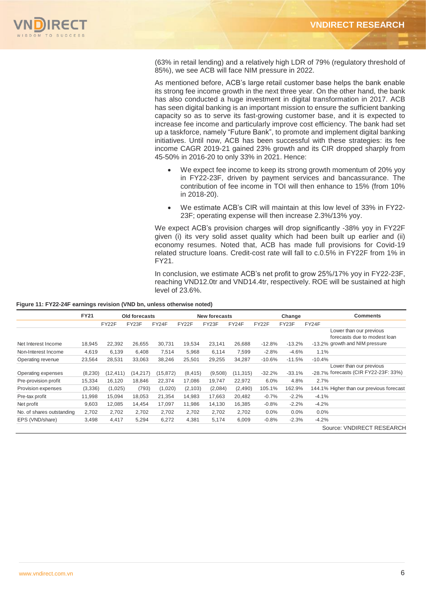

(63% in retail lending) and a relatively high LDR of 79% (regulatory threshold of 85%), we see ACB will face NIM pressure in 2022.

As mentioned before, ACB's large retail customer base helps the bank enable its strong fee income growth in the next three year. On the other hand, the bank has also conducted a huge investment in digital transformation in 2017. ACB has seen digital banking is an important mission to ensure the sufficient banking capacity so as to serve its fast-growing customer base, and it is expected to increase fee income and particularly improve cost efficiency. The bank had set up a taskforce, namely "Future Bank", to promote and implement digital banking initiatives. Until now, ACB has been successful with these strategies: its fee income CAGR 2019-21 gained 23% growth and its CIR dropped sharply from 45-50% in 2016-20 to only 33% in 2021. Hence:

- We expect fee income to keep its strong growth momentum of 20% yoy in FY22-23F, driven by payment services and bancassurance. The contribution of fee income in TOI will then enhance to 15% (from 10% in 2018-20).
- We estimate ACB's CIR will maintain at this low level of 33% in FY22- 23F; operating expense will then increase 2.3%/13% yoy.

We expect ACB's provision charges will drop significantly -38% yoy in FY22F given (i) its very solid asset quality which had been built up earlier and (ii) economy resumes. Noted that, ACB has made full provisions for Covid-19 related structure loans. Credit-cost rate will fall to c.0.5% in FY22F from 1% in FY21.

In conclusion, we estimate ACB's net profit to grow 25%/17% yoy in FY22-23F, reaching VND12.0tr and VND14.4tr, respectively. ROE will be sustained at high level of 23.6%.

| Figure 11: FY22-24F earnings revision (VND bn, unless otherwise noted) |  |  |
|------------------------------------------------------------------------|--|--|
|                                                                        |  |  |

|                           | <b>FY21</b> | Old forecasts |        | <b>New forecasts</b> |          |         |           | Change   |          | <b>Comments</b> |                                                                                           |
|---------------------------|-------------|---------------|--------|----------------------|----------|---------|-----------|----------|----------|-----------------|-------------------------------------------------------------------------------------------|
|                           |             | FY22F         | FY23F  | FY24F                | FY22F    | FY23F   | FY24F     | FY22F    | FY23F    | FY24F           |                                                                                           |
| Net Interest Income       | 18,945      | 22,392        | 26,655 | 30,731               | 19,534   | 23,141  | 26,688    | $-12.8%$ | $-13.2%$ |                 | Lower than our previous<br>forecasts due to modest loan<br>-13.2% growth and NIM pressure |
|                           |             |               |        |                      |          |         |           |          |          |                 |                                                                                           |
| Non-Interest Income       | 4,619       | 6,139         | 6.408  | 7,514                | 5,968    | 6,114   | 7,599     | $-2.8%$  | $-4.6%$  | 1.1%            |                                                                                           |
| Operating revenue         | 23,564      | 28,531        | 33.063 | 38,246               | 25,501   | 29,255  | 34,287    | $-10.6%$ | $-11.5%$ | $-10.4%$        |                                                                                           |
| Operating expenses        | (8,230)     | (12, 411)     | 14,217 | (15, 872)            | (8, 415) | (9,508) | (11, 315) | $-32.2%$ | $-33.1%$ |                 | Lower than our previous<br>-28.7% forecasts (CIR FY22-23F: 33%)                           |
| Pre-provision profit      | 15,334      | 16,120        | 18.846 | 22,374               | 17,086   | 19,747  | 22,972    | 6.0%     | 4.8%     | 2.7%            |                                                                                           |
| Provision expenses        | (3,336)     | (1,025)       | (793)  | (1,020)              | (2, 103) | (2,084) | (2,490)   | 105.1%   | 162.9%   |                 | 144.1% Higher than our previous forecast                                                  |
| Pre-tax profit            | 11,998      | 15,094        | 18,053 | 21,354               | 14,983   | 17,663  | 20,482    | $-0.7%$  | $-2.2%$  | $-4.1%$         |                                                                                           |
| Net profit                | 9,603       | 12,085        | 14,454 | 17,097               | 11,986   | 14,130  | 16,385    | $-0.8%$  | $-2.2%$  | $-4.2%$         |                                                                                           |
| No. of shares outstanding | 2,702       | 2,702         | 2,702  | 2,702                | 2,702    | 2,702   | 2,702     | $0.0\%$  | 0.0%     | 0.0%            |                                                                                           |
| EPS (VND/share)           | 3,498       | 4,417         | 5,294  | 6,272                | 4,381    | 5,174   | 6,009     | $-0.8%$  | $-2.3%$  | $-4.2%$         |                                                                                           |
|                           |             |               |        |                      |          |         |           |          |          |                 | Source: VNDIRECT RESEARCH                                                                 |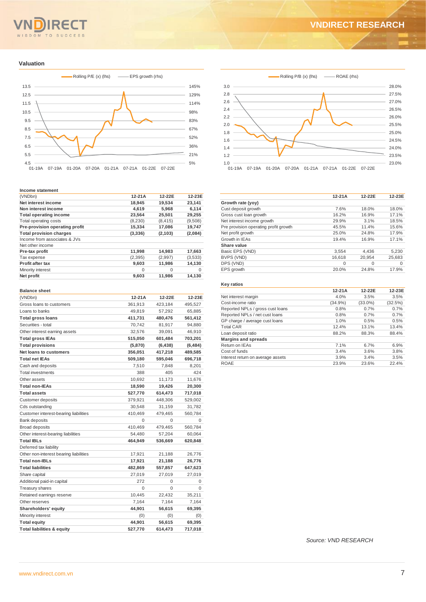# SDOM TO SUCCESS

# **VNDIRECT RESEARCH**

#### **Valuation**



#### **Income statement**

| (VNDbn)                        | $12-21A$ | 12-22E   | 12-23E   |
|--------------------------------|----------|----------|----------|
| Net interest income            | 18,945   | 19,534   | 23,141   |
| Non interest income            | 4,619    | 5,968    | 6,114    |
| <b>Total operating income</b>  | 23,564   | 25,501   | 29,255   |
| Total operating costs          | (8,230)  | (8, 415) | (9,508)  |
| Pre-provision operating profit | 15,334   | 17,086   | 19,747   |
| <b>Total provision charges</b> | (3,336)  | (2, 103) | (2,084)  |
| Income from associates & JVs   |          |          |          |
| Net other income               |          |          |          |
| Pre-tax profit                 | 11,998   | 14,983   | 17,663   |
| Tax expense                    | (2, 395) | (2,997)  | (3,533)  |
| <b>Profit after tax</b>        | 9,603    | 11,986   | 14,130   |
| Minority interest              | 0        | 0        | $\Omega$ |
| Net profit                     | 9,603    | 11,986   | 14,130   |

| <b>Balance sheet</b>                   |          |          |          |
|----------------------------------------|----------|----------|----------|
| (VNDbn)                                | 12-21A   | 12-22E   | 12-23E   |
| Gross loans to customers               | 361,913  | 423,184  | 495,527  |
| Loans to banks                         | 49,819   | 57,292   | 65,885   |
| <b>Total gross loans</b>               | 411,731  | 480,476  | 561,412  |
| Securities - total                     | 70,742   | 81,917   | 94,880   |
| Other interest earning assets          | 32,576   | 39,091   | 46,910   |
| <b>Total gross IEAs</b>                | 515,050  | 601,484  | 703,201  |
| <b>Total provisions</b>                | (5,870)  | (6, 438) | (6, 484) |
| Net loans to customers                 | 356,051  | 417,218  | 489,585  |
| <b>Total net IEAs</b>                  | 509,180  | 595,046  | 696,718  |
| Cash and deposits                      | 7,510    | 7,848    | 8,201    |
| <b>Total investments</b>               | 388      | 405      | 424      |
| Other assets                           | 10,692   | 11,173   | 11,676   |
| <b>Total non-IEAs</b>                  | 18,590   | 19,426   | 20,300   |
| <b>Total assets</b>                    | 527,770  | 614,473  | 717,018  |
| Customer deposits                      | 379,921  | 448,306  | 529,002  |
| Cds outstanding                        | 30,548   | 31,159   | 31,782   |
| Customer interest-bearing liabilities  | 410,469  | 479,465  | 560,784  |
| <b>Bank deposits</b>                   | $\Omega$ | $\Omega$ | $\Omega$ |
| <b>Broad deposits</b>                  | 410,469  | 479,465  | 560,784  |
| Other interest-bearing liabilities     | 54,480   | 57,204   | 60,064   |
| <b>Total IBLs</b>                      | 464,949  | 536,669  | 620,848  |
| Deferred tax liability                 |          |          |          |
| Other non-interest bearing liabilities | 17,921   | 21,188   | 26,776   |
| <b>Total non-IBLs</b>                  | 17,921   | 21,188   | 26,776   |
| <b>Total liabilities</b>               | 482,869  | 557,857  | 647,623  |
| Share capital                          | 27,019   | 27,019   | 27,019   |
| Additional paid-in capital             | 272      | $\Omega$ | 0        |
| Treasury shares                        | $\Omega$ | $\Omega$ | 0        |
| Retained earnings reserve              | 10,445   | 22,432   | 35,211   |
| Other reserves                         | 7,164    | 7,164    | 7,164    |
| Shareholders' equity                   | 44,901   | 56,615   | 69,395   |
| Minority interest                      | (0)      | (0)      | (0)      |
| <b>Total equity</b>                    | 44,901   | 56,615   | 69,395   |
| <b>Total liabilities &amp; equity</b>  | 527,770  | 614,473  | 717,018  |



|                                       | $12-21A$ | 12-22E | 12-23E   |
|---------------------------------------|----------|--------|----------|
| Growth rate (yoy)                     |          |        |          |
| Cust deposit growth                   | 7.6%     | 18.0%  | 18.0%    |
| Gross cust loan growth                | 16.2%    | 16.9%  | 17.1%    |
| Net interest income growth            | 29.9%    | 3.1%   | 18.5%    |
| Pre provision operating profit growth | 45.5%    | 11.4%  | 15.6%    |
| Net profit growth                     | 25.0%    | 24.8%  | 17.9%    |
| Growth in IEAs                        | 19.4%    | 16.9%  | 17.1%    |
| Share value                           |          |        |          |
| Basic EPS (VND)                       | 3.554    | 4.436  | 5.230    |
| BVPS (VND)                            | 16.618   | 20.954 | 25,683   |
| DPS (VND)                             | $\Omega$ | 0      | $\Omega$ |
| EPS growth                            | 20.0%    | 24.8%  | 17.9%    |

#### **Key ratios**

|                                   | $12-21A$   | 12-22E     | 12-23E  |
|-----------------------------------|------------|------------|---------|
| Net interest margin               | 4.0%       | 3.5%       | 3.5%    |
| Cost-income ratio                 | $(34.9\%)$ | $(33.0\%)$ | (32.5%) |
| Reported NPLs / gross cust loans  | 0.8%       | 0.7%       | 0.7%    |
| Reported NPLs / net cust loans    | 0.8%       | 0.7%       | 0.7%    |
| GP charge / average cust loans    | 1.0%       | 0.5%       | 0.5%    |
| <b>Total CAR</b>                  | 12.4%      | 13.1%      | 13.4%   |
| Loan deposit ratio                | 88.2%      | 88.3%      | 88.4%   |
| <b>Margins and spreads</b>        |            |            |         |
| Return on IEAs                    | 7.1%       | 6.7%       | 6.9%    |
| Cost of funds                     | 3.4%       | 3.6%       | 3.8%    |
| Interest return on average assets | 3.9%       | 3.4%       | 3.5%    |
| ROAE                              | 23.9%      | 23.6%      | 22.4%   |
|                                   |            |            |         |

*Source: VND RESEARCH*